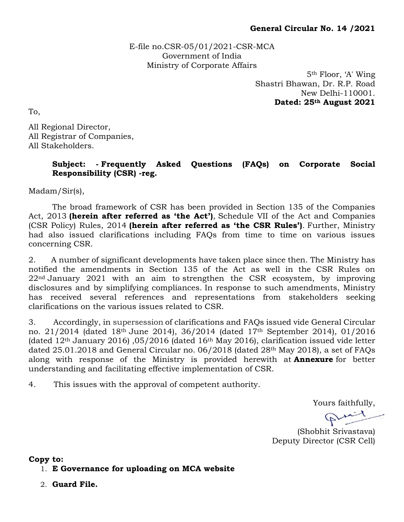E-file no.CSR-05/01/2021-CSR-MCA Government of India Ministry of Corporate Affairs

> 5th Floor, 'A' Wing Shastri Bhawan, Dr. R.P. Road New Delhi-110001.  **Dated: 25th August 2021**

To,

All Regional Director, All Registrar of Companies, All Stakeholders.

## **Subject: - Frequently Asked Questions (FAQs) on Corporate Social Responsibility (CSR) -reg.**

Madam/Sir(s),

The broad framework of CSR has been provided in Section 135 of the Companies Act, 2013 **(herein after referred as 'the Act')**, Schedule VII of the Act and Companies (CSR Policy) Rules, 2014 **(herein after referred as 'the CSR Rules')**. Further, Ministry had also issued clarifications including FAQs from time to time on various issues concerning CSR.

2. A number of significant developments have taken place since then. The Ministry has notified the amendments in Section 135 of the Act as well in the CSR Rules on 22nd January 2021 with an aim to strengthen the CSR ecosystem, by improving disclosures and by simplifying compliances. In response to such amendments, Ministry has received several references and representations from stakeholders seeking clarifications on the various issues related to CSR.

3. Accordingly, in supersession of clarifications and FAQs issued vide General Circular no. 21/2014 (dated 18th June 2014), 36/2014 (dated 17th September 2014), 01/2016 (dated 12th January 2016) ,05/2016 (dated 16th May 2016), clarification issued vide letter dated 25.01.2018 and General Circular no. 06/2018 (dated 28th May 2018), a set of FAQs along with response of the Ministry is provided herewith at **Annexure** for better understanding and facilitating effective implementation of CSR.

4. This issues with the approval of competent authority.

Yours faithfully,

(Shobhit Srivastava) Deputy Director (CSR Cell)

**Copy to:**

## 1. **E Governance for uploading on MCA website**

2. **Guard File.**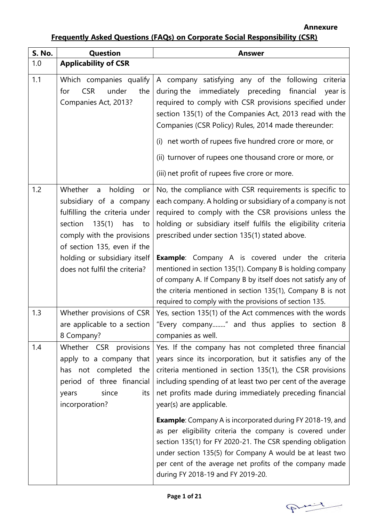## **Frequently Asked Questions (FAQs) on Corporate Social Responsibility (CSR)**

| S. No. | <b>Question</b>                                                                                                                                                                                                                                           | <b>Answer</b>                                                                                                                                                                                                                                                                                                                                                                                                                                                                                                                                         |
|--------|-----------------------------------------------------------------------------------------------------------------------------------------------------------------------------------------------------------------------------------------------------------|-------------------------------------------------------------------------------------------------------------------------------------------------------------------------------------------------------------------------------------------------------------------------------------------------------------------------------------------------------------------------------------------------------------------------------------------------------------------------------------------------------------------------------------------------------|
| 1.0    | <b>Applicability of CSR</b>                                                                                                                                                                                                                               |                                                                                                                                                                                                                                                                                                                                                                                                                                                                                                                                                       |
| 1.1    | Which companies qualify<br><b>CSR</b><br>under<br>for<br>the<br>Companies Act, 2013?                                                                                                                                                                      | A company satisfying any of the following criteria<br>during the<br>immediately preceding financial<br>year is<br>required to comply with CSR provisions specified under<br>section 135(1) of the Companies Act, 2013 read with the<br>Companies (CSR Policy) Rules, 2014 made thereunder:<br>(i) net worth of rupees five hundred crore or more, or                                                                                                                                                                                                  |
|        |                                                                                                                                                                                                                                                           | (ii) turnover of rupees one thousand crore or more, or<br>(iii) net profit of rupees five crore or more.                                                                                                                                                                                                                                                                                                                                                                                                                                              |
| 1.2    | Whether<br>holding<br>a<br>or<br>subsidiary of a company<br>fulfilling the criteria under<br>section<br>135(1)<br>has<br>to<br>comply with the provisions<br>of section 135, even if the<br>holding or subsidiary itself<br>does not fulfil the criteria? | No, the compliance with CSR requirements is specific to<br>each company. A holding or subsidiary of a company is not<br>required to comply with the CSR provisions unless the<br>holding or subsidiary itself fulfils the eligibility criteria<br>prescribed under section 135(1) stated above.<br><b>Example:</b> Company A is covered under the criteria<br>mentioned in section 135(1). Company B is holding company<br>of company A. If Company B by itself does not satisfy any of<br>the criteria mentioned in section 135(1), Company B is not |
| 1.3    | Whether provisions of CSR<br>are applicable to a section<br>8 Company?                                                                                                                                                                                    | required to comply with the provisions of section 135.<br>Yes, section 135(1) of the Act commences with the words<br>"Every company" and thus applies to section 8<br>companies as well.                                                                                                                                                                                                                                                                                                                                                              |
| 1.4    | Whether CSR provisions<br>apply to a company that<br>has not completed the<br>period of three financial<br>since<br>years<br>its<br>incorporation?                                                                                                        | Yes. If the company has not completed three financial<br>years since its incorporation, but it satisfies any of the<br>criteria mentioned in section 135(1), the CSR provisions<br>including spending of at least two per cent of the average<br>net profits made during immediately preceding financial<br>year(s) are applicable.                                                                                                                                                                                                                   |
|        |                                                                                                                                                                                                                                                           | <b>Example:</b> Company A is incorporated during FY 2018-19, and<br>as per eligibility criteria the company is covered under<br>section 135(1) for FY 2020-21. The CSR spending obligation<br>under section 135(5) for Company A would be at least two<br>per cent of the average net profits of the company made<br>during FY 2018-19 and FY 2019-20.                                                                                                                                                                                                |

Print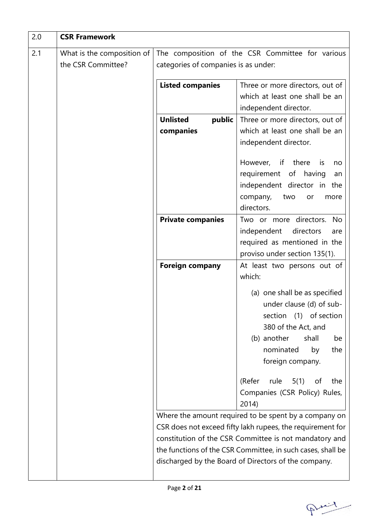| 2.0 | <b>CSR Framework</b>       |                                      |                                                                                                                     |
|-----|----------------------------|--------------------------------------|---------------------------------------------------------------------------------------------------------------------|
| 2.1 | What is the composition of |                                      | The composition of the CSR Committee for various                                                                    |
|     | the CSR Committee?         | categories of companies is as under: |                                                                                                                     |
|     |                            | <b>Listed companies</b>              | Three or more directors, out of                                                                                     |
|     |                            |                                      | which at least one shall be an                                                                                      |
|     |                            |                                      | independent director.                                                                                               |
|     |                            | <b>Unlisted</b><br>public            | Three or more directors, out of                                                                                     |
|     |                            | companies                            | which at least one shall be an                                                                                      |
|     |                            |                                      | independent director.                                                                                               |
|     |                            |                                      | However, if there<br>is is<br>no                                                                                    |
|     |                            |                                      | requirement of having<br>an                                                                                         |
|     |                            |                                      | independent director in the                                                                                         |
|     |                            |                                      | company,<br>two<br>more<br>or                                                                                       |
|     |                            |                                      | directors.                                                                                                          |
|     |                            | <b>Private companies</b>             | Two or more directors.<br><b>No</b>                                                                                 |
|     |                            |                                      | independent<br>directors<br>are                                                                                     |
|     |                            |                                      | required as mentioned in the                                                                                        |
|     |                            |                                      | proviso under section 135(1).                                                                                       |
|     |                            | <b>Foreign company</b>               | At least two persons out of<br>which:                                                                               |
|     |                            |                                      | (a) one shall be as specified                                                                                       |
|     |                            |                                      | under clause (d) of sub-                                                                                            |
|     |                            |                                      | of section<br>section<br>(1)                                                                                        |
|     |                            |                                      | 380 of the Act, and                                                                                                 |
|     |                            |                                      | (b) another<br>shall<br>be                                                                                          |
|     |                            |                                      | nominated<br>the<br>by                                                                                              |
|     |                            |                                      | foreign company.                                                                                                    |
|     |                            |                                      | (Refer<br>rule<br>5(1)<br>of<br>the                                                                                 |
|     |                            |                                      | Companies (CSR Policy) Rules,                                                                                       |
|     |                            |                                      | 2014)                                                                                                               |
|     |                            |                                      | Where the amount required to be spent by a company on                                                               |
|     |                            |                                      | CSR does not exceed fifty lakh rupees, the requirement for                                                          |
|     |                            |                                      | constitution of the CSR Committee is not mandatory and                                                              |
|     |                            |                                      | the functions of the CSR Committee, in such cases, shall be<br>discharged by the Board of Directors of the company. |
|     |                            |                                      |                                                                                                                     |

Print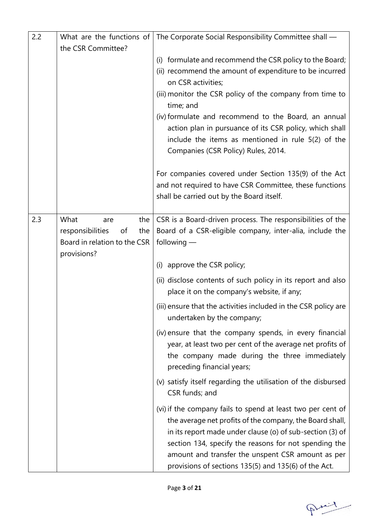| 2.2 | What are the functions of     | The Corporate Social Responsibility Committee shall -                                                                                                                                                                                                                                                                                                      |
|-----|-------------------------------|------------------------------------------------------------------------------------------------------------------------------------------------------------------------------------------------------------------------------------------------------------------------------------------------------------------------------------------------------------|
|     | the CSR Committee?            |                                                                                                                                                                                                                                                                                                                                                            |
|     |                               | formulate and recommend the CSR policy to the Board;<br>(i)<br>(ii) recommend the amount of expenditure to be incurred                                                                                                                                                                                                                                     |
|     |                               | on CSR activities;                                                                                                                                                                                                                                                                                                                                         |
|     |                               | (iii) monitor the CSR policy of the company from time to<br>time; and                                                                                                                                                                                                                                                                                      |
|     |                               | (iv) formulate and recommend to the Board, an annual<br>action plan in pursuance of its CSR policy, which shall<br>include the items as mentioned in rule 5(2) of the                                                                                                                                                                                      |
|     |                               | Companies (CSR Policy) Rules, 2014.                                                                                                                                                                                                                                                                                                                        |
|     |                               | For companies covered under Section 135(9) of the Act<br>and not required to have CSR Committee, these functions<br>shall be carried out by the Board itself.                                                                                                                                                                                              |
| 2.3 | What<br>the<br>are            | CSR is a Board-driven process. The responsibilities of the                                                                                                                                                                                                                                                                                                 |
|     | responsibilities<br>of<br>the | Board of a CSR-eligible company, inter-alia, include the                                                                                                                                                                                                                                                                                                   |
|     | Board in relation to the CSR  | following $-$                                                                                                                                                                                                                                                                                                                                              |
|     | provisions?                   |                                                                                                                                                                                                                                                                                                                                                            |
|     |                               | (i) approve the CSR policy;                                                                                                                                                                                                                                                                                                                                |
|     |                               | (ii) disclose contents of such policy in its report and also<br>place it on the company's website, if any;                                                                                                                                                                                                                                                 |
|     |                               | (iii) ensure that the activities included in the CSR policy are<br>undertaken by the company;                                                                                                                                                                                                                                                              |
|     |                               | (iv) ensure that the company spends, in every financial<br>year, at least two per cent of the average net profits of<br>the company made during the three immediately<br>preceding financial years;                                                                                                                                                        |
|     |                               | (v) satisfy itself regarding the utilisation of the disbursed<br>CSR funds; and                                                                                                                                                                                                                                                                            |
|     |                               | (vi) if the company fails to spend at least two per cent of<br>the average net profits of the company, the Board shall,<br>in its report made under clause (o) of sub-section (3) of<br>section 134, specify the reasons for not spending the<br>amount and transfer the unspent CSR amount as per<br>provisions of sections 135(5) and 135(6) of the Act. |

Print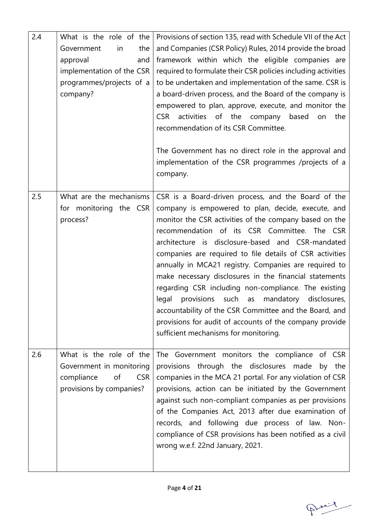| 2.4 | What is the role of the<br>Government<br>the<br>in<br>approval<br>and<br>implementation of the CSR<br>programmes/projects of a<br>company? | Provisions of section 135, read with Schedule VII of the Act<br>and Companies (CSR Policy) Rules, 2014 provide the broad<br>framework within which the eligible companies are<br>required to formulate their CSR policies including activities<br>to be undertaken and implementation of the same. CSR is<br>a board-driven process, and the Board of the company is<br>empowered to plan, approve, execute, and monitor the<br>activities of the company based<br><b>CSR</b><br>on<br>the<br>recommendation of its CSR Committee.<br>The Government has no direct role in the approval and<br>implementation of the CSR programmes /projects of a<br>company.                                                                            |
|-----|--------------------------------------------------------------------------------------------------------------------------------------------|-------------------------------------------------------------------------------------------------------------------------------------------------------------------------------------------------------------------------------------------------------------------------------------------------------------------------------------------------------------------------------------------------------------------------------------------------------------------------------------------------------------------------------------------------------------------------------------------------------------------------------------------------------------------------------------------------------------------------------------------|
| 2.5 | What are the mechanisms<br>for monitoring the CSR<br>process?                                                                              | CSR is a Board-driven process, and the Board of the<br>company is empowered to plan, decide, execute, and<br>monitor the CSR activities of the company based on the<br>recommendation of its CSR Committee. The CSR<br>architecture is disclosure-based and CSR-mandated<br>companies are required to file details of CSR activities<br>annually in MCA21 registry. Companies are required to<br>make necessary disclosures in the financial statements<br>regarding CSR including non-compliance. The existing<br>provisions such as<br>mandatory<br>disclosures,<br>legal<br>accountability of the CSR Committee and the Board, and<br>provisions for audit of accounts of the company provide<br>sufficient mechanisms for monitoring. |
| 2.6 | What is the role of the<br>Government in monitoring<br>compliance<br>of<br><b>CSR</b><br>provisions by companies?                          | The Government monitors the compliance of CSR<br>provisions through the disclosures made by the<br>companies in the MCA 21 portal. For any violation of CSR<br>provisions, action can be initiated by the Government<br>against such non-compliant companies as per provisions<br>of the Companies Act, 2013 after due examination of<br>records, and following due process of law. Non-<br>compliance of CSR provisions has been notified as a civil<br>wrong w.e.f. 22nd January, 2021.                                                                                                                                                                                                                                                 |

Print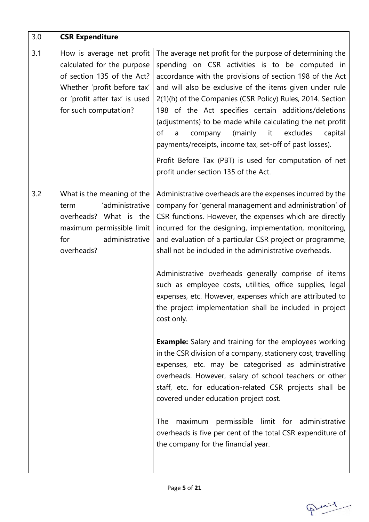| 3.0 | <b>CSR Expenditure</b>                                                                                                                                                         |                                                                                                                                                                                                                                                                                                                                                                                                                                                                                                                                                                                                                                                      |
|-----|--------------------------------------------------------------------------------------------------------------------------------------------------------------------------------|------------------------------------------------------------------------------------------------------------------------------------------------------------------------------------------------------------------------------------------------------------------------------------------------------------------------------------------------------------------------------------------------------------------------------------------------------------------------------------------------------------------------------------------------------------------------------------------------------------------------------------------------------|
| 3.1 | How is average net profit<br>calculated for the purpose<br>of section 135 of the Act?<br>Whether 'profit before tax'<br>or 'profit after tax' is used<br>for such computation? | The average net profit for the purpose of determining the<br>spending on CSR activities is to be computed in<br>accordance with the provisions of section 198 of the Act<br>and will also be exclusive of the items given under rule<br>2(1)(h) of the Companies (CSR Policy) Rules, 2014. Section<br>198 of the Act specifies certain additions/deletions<br>(adjustments) to be made while calculating the net profit<br>of<br>(mainly<br>it -<br>excludes<br>capital<br>company<br>a<br>payments/receipts, income tax, set-off of past losses).<br>Profit Before Tax (PBT) is used for computation of net<br>profit under section 135 of the Act. |
| 3.2 | What is the meaning of the<br>'administrative<br>term<br>overheads? What is the<br>maximum permissible limit<br>administrative<br>for<br>overheads?                            | Administrative overheads are the expenses incurred by the<br>company for 'general management and administration' of<br>CSR functions. However, the expenses which are directly<br>incurred for the designing, implementation, monitoring,<br>and evaluation of a particular CSR project or programme,<br>shall not be included in the administrative overheads.                                                                                                                                                                                                                                                                                      |
|     |                                                                                                                                                                                | Administrative overheads generally comprise of items<br>such as employee costs, utilities, office supplies, legal<br>expenses, etc. However, expenses which are attributed to<br>the project implementation shall be included in project<br>cost only.                                                                                                                                                                                                                                                                                                                                                                                               |
|     |                                                                                                                                                                                | <b>Example:</b> Salary and training for the employees working<br>in the CSR division of a company, stationery cost, travelling<br>expenses, etc. may be categorised as administrative<br>overheads. However, salary of school teachers or other<br>staff, etc. for education-related CSR projects shall be<br>covered under education project cost.                                                                                                                                                                                                                                                                                                  |
|     |                                                                                                                                                                                | permissible limit for administrative<br>maximum<br>The<br>overheads is five per cent of the total CSR expenditure of<br>the company for the financial year.                                                                                                                                                                                                                                                                                                                                                                                                                                                                                          |

Print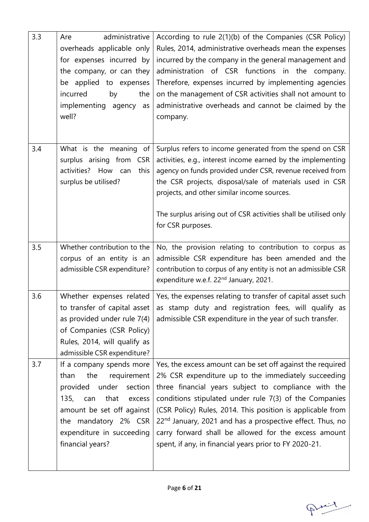| 3.3 | administrative<br>Are<br>overheads applicable only<br>for expenses incurred by<br>the company, or can they<br>be applied to expenses<br>incurred<br>by<br>the<br>implementing agency<br>as<br>well?                        | According to rule 2(1)(b) of the Companies (CSR Policy)<br>Rules, 2014, administrative overheads mean the expenses<br>incurred by the company in the general management and<br>administration of CSR functions in the company.<br>Therefore, expenses incurred by implementing agencies<br>on the management of CSR activities shall not amount to<br>administrative overheads and cannot be claimed by the<br>company.                                                                      |
|-----|----------------------------------------------------------------------------------------------------------------------------------------------------------------------------------------------------------------------------|----------------------------------------------------------------------------------------------------------------------------------------------------------------------------------------------------------------------------------------------------------------------------------------------------------------------------------------------------------------------------------------------------------------------------------------------------------------------------------------------|
| 3.4 | What is the meaning of<br>surplus arising from CSR<br>activities? How can<br>this<br>surplus be utilised?                                                                                                                  | Surplus refers to income generated from the spend on CSR<br>activities, e.g., interest income earned by the implementing<br>agency on funds provided under CSR, revenue received from<br>the CSR projects, disposal/sale of materials used in CSR<br>projects, and other similar income sources.<br>The surplus arising out of CSR activities shall be utilised only<br>for CSR purposes.                                                                                                    |
| 3.5 | Whether contribution to the<br>corpus of an entity is an<br>admissible CSR expenditure?                                                                                                                                    | No, the provision relating to contribution to corpus as<br>admissible CSR expenditure has been amended and the<br>contribution to corpus of any entity is not an admissible CSR<br>expenditure w.e.f. 22 <sup>nd</sup> January, 2021.                                                                                                                                                                                                                                                        |
| 3.6 | as provided under rule 7(4)<br>of Companies (CSR Policy)<br>Rules, 2014, will qualify as<br>admissible CSR expenditure?                                                                                                    | Whether expenses related   Yes, the expenses relating to transfer of capital asset such<br>to transfer of capital asset $\vert$ as stamp duty and registration fees, will qualify as<br>admissible CSR expenditure in the year of such transfer.                                                                                                                                                                                                                                             |
| 3.7 | If a company spends more<br>than<br>the<br>requirement<br>provided<br>under section<br>that<br>135,<br>can<br>excess<br>amount be set off against<br>the mandatory 2% CSR<br>expenditure in succeeding<br>financial years? | Yes, the excess amount can be set off against the required<br>2% CSR expenditure up to the immediately succeeding<br>three financial years subject to compliance with the<br>conditions stipulated under rule 7(3) of the Companies<br>(CSR Policy) Rules, 2014. This position is applicable from<br>22 <sup>nd</sup> January, 2021 and has a prospective effect. Thus, no<br>carry forward shall be allowed for the excess amount<br>spent, if any, in financial years prior to FY 2020-21. |

Print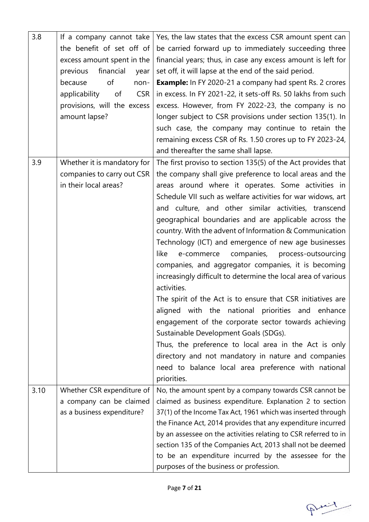| 3.8  | If a company cannot take          | Yes, the law states that the excess CSR amount spent can        |
|------|-----------------------------------|-----------------------------------------------------------------|
|      | the benefit of set off of         | be carried forward up to immediately succeeding three           |
|      | excess amount spent in the        | financial years; thus, in case any excess amount is left for    |
|      | financial<br>previous<br>year     | set off, it will lapse at the end of the said period.           |
|      | of<br>because<br>non-             | <b>Example:</b> In FY 2020-21 a company had spent Rs. 2 crores  |
|      | applicability<br><b>CSR</b><br>of | in excess. In FY 2021-22, it sets-off Rs. 50 lakhs from such    |
|      | provisions, will the excess       | excess. However, from FY 2022-23, the company is no             |
|      | amount lapse?                     | longer subject to CSR provisions under section 135(1). In       |
|      |                                   | such case, the company may continue to retain the               |
|      |                                   | remaining excess CSR of Rs. 1.50 crores up to FY 2023-24,       |
|      |                                   | and thereafter the same shall lapse.                            |
| 3.9  | Whether it is mandatory for       | The first proviso to section 135(5) of the Act provides that    |
|      | companies to carry out CSR        | the company shall give preference to local areas and the        |
|      | in their local areas?             | areas around where it operates. Some activities in              |
|      |                                   | Schedule VII such as welfare activities for war widows, art     |
|      |                                   | and culture, and other similar activities, transcend            |
|      |                                   | geographical boundaries and are applicable across the           |
|      |                                   | country. With the advent of Information & Communication         |
|      |                                   | Technology (ICT) and emergence of new age businesses            |
|      |                                   | like<br>e-commerce<br>companies,<br>process-outsourcing         |
|      |                                   | companies, and aggregator companies, it is becoming             |
|      |                                   | increasingly difficult to determine the local area of various   |
|      |                                   | activities.                                                     |
|      |                                   | The spirit of the Act is to ensure that CSR initiatives are     |
|      |                                   | aligned with the national priorities and<br>enhance             |
|      |                                   | engagement of the corporate sector towards achieving            |
|      |                                   | Sustainable Development Goals (SDGs).                           |
|      |                                   | Thus, the preference to local area in the Act is only           |
|      |                                   | directory and not mandatory in nature and companies             |
|      |                                   | need to balance local area preference with national             |
|      |                                   | priorities.                                                     |
| 3.10 | Whether CSR expenditure of        | No, the amount spent by a company towards CSR cannot be         |
|      | a company can be claimed          | claimed as business expenditure. Explanation 2 to section       |
|      | as a business expenditure?        | 37(1) of the Income Tax Act, 1961 which was inserted through    |
|      |                                   | the Finance Act, 2014 provides that any expenditure incurred    |
|      |                                   | by an assessee on the activities relating to CSR referred to in |
|      |                                   | section 135 of the Companies Act, 2013 shall not be deemed      |
|      |                                   | to be an expenditure incurred by the assessee for the           |
|      |                                   | purposes of the business or profession.                         |

Print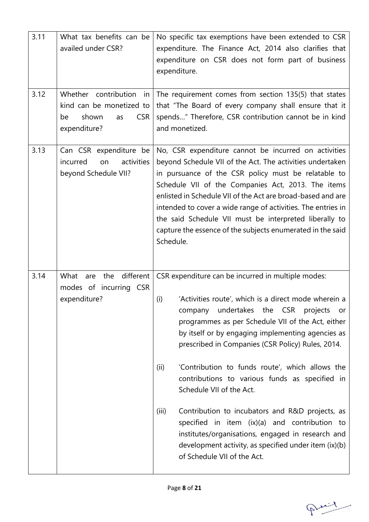| 3.11<br>3.12 | What tax benefits can be<br>availed under CSR?<br>Whether contribution in<br>kind can be monetized to<br><b>CSR</b><br>be<br>shown<br>as<br>expenditure? | No specific tax exemptions have been extended to CSR<br>expenditure. The Finance Act, 2014 also clarifies that<br>expenditure on CSR does not form part of business<br>expenditure.<br>The requirement comes from section 135(5) that states<br>that "The Board of every company shall ensure that it<br>spends" Therefore, CSR contribution cannot be in kind<br>and monetized.                                                                                                                                                                                                                                                                                                                                                   |
|--------------|----------------------------------------------------------------------------------------------------------------------------------------------------------|------------------------------------------------------------------------------------------------------------------------------------------------------------------------------------------------------------------------------------------------------------------------------------------------------------------------------------------------------------------------------------------------------------------------------------------------------------------------------------------------------------------------------------------------------------------------------------------------------------------------------------------------------------------------------------------------------------------------------------|
| 3.13         | Can CSR expenditure be<br>activities<br>incurred<br>on<br>beyond Schedule VII?                                                                           | No, CSR expenditure cannot be incurred on activities<br>beyond Schedule VII of the Act. The activities undertaken<br>in pursuance of the CSR policy must be relatable to<br>Schedule VII of the Companies Act, 2013. The items<br>enlisted in Schedule VII of the Act are broad-based and are<br>intended to cover a wide range of activities. The entries in<br>the said Schedule VII must be interpreted liberally to<br>capture the essence of the subjects enumerated in the said<br>Schedule.                                                                                                                                                                                                                                 |
| 3.14         | different<br>What<br>the<br>are<br>modes of incurring CSR<br>expenditure?                                                                                | CSR expenditure can be incurred in multiple modes:<br>'Activities route', which is a direct mode wherein a<br>(i)<br>company undertakes the CSR projects<br>or -<br>programmes as per Schedule VII of the Act, either<br>by itself or by engaging implementing agencies as<br>prescribed in Companies (CSR Policy) Rules, 2014.<br>'Contribution to funds route', which allows the<br>(ii)<br>contributions to various funds as specified in<br>Schedule VII of the Act.<br>Contribution to incubators and R&D projects, as<br>(iii)<br>specified in item (ix)(a) and contribution to<br>institutes/organisations, engaged in research and<br>development activity, as specified under item (ix)(b)<br>of Schedule VII of the Act. |

Print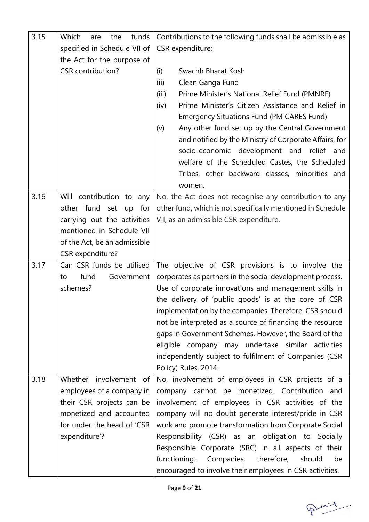| 3.15 | Which<br>funds<br>the<br>are | Contributions to the following funds shall be admissible as |
|------|------------------------------|-------------------------------------------------------------|
|      | specified in Schedule VII of | CSR expenditure:                                            |
|      | the Act for the purpose of   |                                                             |
|      | <b>CSR</b> contribution?     | Swachh Bharat Kosh<br>(i)                                   |
|      |                              | (ii)<br>Clean Ganga Fund                                    |
|      |                              | (iii)<br>Prime Minister's National Relief Fund (PMNRF)      |
|      |                              | Prime Minister's Citizen Assistance and Relief in<br>(iv)   |
|      |                              | <b>Emergency Situations Fund (PM CARES Fund)</b>            |
|      |                              | Any other fund set up by the Central Government<br>(v)      |
|      |                              | and notified by the Ministry of Corporate Affairs, for      |
|      |                              | socio-economic development and relief and                   |
|      |                              | welfare of the Scheduled Castes, the Scheduled              |
|      |                              | Tribes, other backward classes, minorities and              |
|      |                              | women.                                                      |
| 3.16 | Will contribution to any     | No, the Act does not recognise any contribution to any      |
|      | other fund set<br>up<br>for  | other fund, which is not specifically mentioned in Schedule |
|      | carrying out the activities  | VII, as an admissible CSR expenditure.                      |
|      | mentioned in Schedule VII    |                                                             |
|      | of the Act, be an admissible |                                                             |
|      | CSR expenditure?             |                                                             |
| 3.17 | Can CSR funds be utilised    | The objective of CSR provisions is to involve the           |
|      | fund<br>Government<br>to     | corporates as partners in the social development process.   |
|      | schemes?                     | Use of corporate innovations and management skills in       |
|      |                              | the delivery of 'public goods' is at the core of CSR        |
|      |                              | implementation by the companies. Therefore, CSR should      |
|      |                              | not be interpreted as a source of financing the resource    |
|      |                              | gaps in Government Schemes. However, the Board of the       |
|      |                              | eligible company may undertake similar activities           |
|      |                              | independently subject to fulfilment of Companies (CSR       |
|      |                              | Policy) Rules, 2014.                                        |
| 3.18 | Whether involvement of       | No, involvement of employees in CSR projects of a           |
|      | employees of a company in    | company cannot be monetized. Contribution and               |
|      | their CSR projects can be    | involvement of employees in CSR activities of the           |
|      | monetized and accounted      | company will no doubt generate interest/pride in CSR        |
|      | for under the head of 'CSR   | work and promote transformation from Corporate Social       |
|      | expenditure'?                | Responsibility (CSR) as an obligation to Socially           |
|      |                              | Responsible Corporate (SRC) in all aspects of their         |
|      |                              | functioning.<br>therefore,<br>Companies,<br>should<br>be    |
|      |                              | encouraged to involve their employees in CSR activities.    |

Print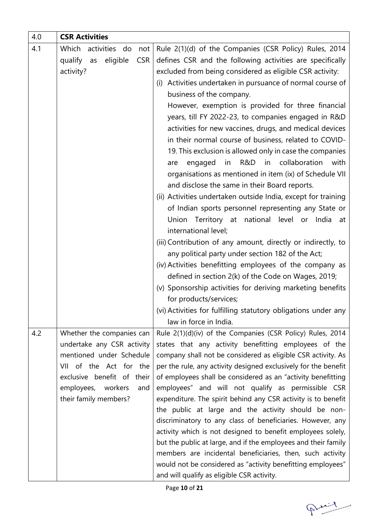| 4.1<br>Which activities do<br>Rule 2(1)(d) of the Companies (CSR Policy) Rules, 2014<br>not<br>eligible<br><b>CSR</b><br>defines CSR and the following activities are specifically<br>qualify<br>as<br>activity?<br>excluded from being considered as eligible CSR activity:<br>(i) Activities undertaken in pursuance of normal course of<br>business of the company.<br>However, exemption is provided for three financial<br>years, till FY 2022-23, to companies engaged in R&D<br>activities for new vaccines, drugs, and medical devices<br>in their normal course of business, related to COVID-<br>19. This exclusion is allowed only in case the companies<br>R&D in collaboration<br>engaged<br>with<br>in<br>are<br>organisations as mentioned in item (ix) of Schedule VII<br>and disclose the same in their Board reports.<br>(ii) Activities undertaken outside India, except for training<br>of Indian sports personnel representing any State or<br>Union Territory at national level or India<br>at<br>international level;<br>(iii) Contribution of any amount, directly or indirectly, to<br>any political party under section 182 of the Act;<br>(iv) Activities benefitting employees of the company as<br>defined in section 2(k) of the Code on Wages, 2019;<br>(v) Sponsorship activities for deriving marketing benefits<br>for products/services;<br>(vi) Activities for fulfilling statutory obligations under any<br>law in force in India.<br>4.2<br>Rule 2(1)(d)(iv) of the Companies (CSR Policy) Rules, 2014<br>Whether the companies can<br>undertake any CSR activity<br>states that any activity benefitting employees of the<br>mentioned under Schedule<br>company shall not be considered as eligible CSR activity. As<br>per the rule, any activity designed exclusively for the benefit<br>VII of the Act for the<br>exclusive benefit of their<br>of employees shall be considered as an "activity benefitting | 4.0 | <b>CSR Activities</b>     |                                                    |
|---------------------------------------------------------------------------------------------------------------------------------------------------------------------------------------------------------------------------------------------------------------------------------------------------------------------------------------------------------------------------------------------------------------------------------------------------------------------------------------------------------------------------------------------------------------------------------------------------------------------------------------------------------------------------------------------------------------------------------------------------------------------------------------------------------------------------------------------------------------------------------------------------------------------------------------------------------------------------------------------------------------------------------------------------------------------------------------------------------------------------------------------------------------------------------------------------------------------------------------------------------------------------------------------------------------------------------------------------------------------------------------------------------------------------------------------------------------------------------------------------------------------------------------------------------------------------------------------------------------------------------------------------------------------------------------------------------------------------------------------------------------------------------------------------------------------------------------------------------------------------------------------------------------------------------------------------------|-----|---------------------------|----------------------------------------------------|
|                                                                                                                                                                                                                                                                                                                                                                                                                                                                                                                                                                                                                                                                                                                                                                                                                                                                                                                                                                                                                                                                                                                                                                                                                                                                                                                                                                                                                                                                                                                                                                                                                                                                                                                                                                                                                                                                                                                                                         |     |                           |                                                    |
|                                                                                                                                                                                                                                                                                                                                                                                                                                                                                                                                                                                                                                                                                                                                                                                                                                                                                                                                                                                                                                                                                                                                                                                                                                                                                                                                                                                                                                                                                                                                                                                                                                                                                                                                                                                                                                                                                                                                                         |     |                           |                                                    |
|                                                                                                                                                                                                                                                                                                                                                                                                                                                                                                                                                                                                                                                                                                                                                                                                                                                                                                                                                                                                                                                                                                                                                                                                                                                                                                                                                                                                                                                                                                                                                                                                                                                                                                                                                                                                                                                                                                                                                         |     |                           |                                                    |
|                                                                                                                                                                                                                                                                                                                                                                                                                                                                                                                                                                                                                                                                                                                                                                                                                                                                                                                                                                                                                                                                                                                                                                                                                                                                                                                                                                                                                                                                                                                                                                                                                                                                                                                                                                                                                                                                                                                                                         |     |                           |                                                    |
|                                                                                                                                                                                                                                                                                                                                                                                                                                                                                                                                                                                                                                                                                                                                                                                                                                                                                                                                                                                                                                                                                                                                                                                                                                                                                                                                                                                                                                                                                                                                                                                                                                                                                                                                                                                                                                                                                                                                                         |     |                           |                                                    |
|                                                                                                                                                                                                                                                                                                                                                                                                                                                                                                                                                                                                                                                                                                                                                                                                                                                                                                                                                                                                                                                                                                                                                                                                                                                                                                                                                                                                                                                                                                                                                                                                                                                                                                                                                                                                                                                                                                                                                         |     |                           |                                                    |
|                                                                                                                                                                                                                                                                                                                                                                                                                                                                                                                                                                                                                                                                                                                                                                                                                                                                                                                                                                                                                                                                                                                                                                                                                                                                                                                                                                                                                                                                                                                                                                                                                                                                                                                                                                                                                                                                                                                                                         |     |                           |                                                    |
|                                                                                                                                                                                                                                                                                                                                                                                                                                                                                                                                                                                                                                                                                                                                                                                                                                                                                                                                                                                                                                                                                                                                                                                                                                                                                                                                                                                                                                                                                                                                                                                                                                                                                                                                                                                                                                                                                                                                                         |     |                           |                                                    |
|                                                                                                                                                                                                                                                                                                                                                                                                                                                                                                                                                                                                                                                                                                                                                                                                                                                                                                                                                                                                                                                                                                                                                                                                                                                                                                                                                                                                                                                                                                                                                                                                                                                                                                                                                                                                                                                                                                                                                         |     |                           |                                                    |
|                                                                                                                                                                                                                                                                                                                                                                                                                                                                                                                                                                                                                                                                                                                                                                                                                                                                                                                                                                                                                                                                                                                                                                                                                                                                                                                                                                                                                                                                                                                                                                                                                                                                                                                                                                                                                                                                                                                                                         |     |                           |                                                    |
|                                                                                                                                                                                                                                                                                                                                                                                                                                                                                                                                                                                                                                                                                                                                                                                                                                                                                                                                                                                                                                                                                                                                                                                                                                                                                                                                                                                                                                                                                                                                                                                                                                                                                                                                                                                                                                                                                                                                                         |     |                           |                                                    |
|                                                                                                                                                                                                                                                                                                                                                                                                                                                                                                                                                                                                                                                                                                                                                                                                                                                                                                                                                                                                                                                                                                                                                                                                                                                                                                                                                                                                                                                                                                                                                                                                                                                                                                                                                                                                                                                                                                                                                         |     |                           |                                                    |
|                                                                                                                                                                                                                                                                                                                                                                                                                                                                                                                                                                                                                                                                                                                                                                                                                                                                                                                                                                                                                                                                                                                                                                                                                                                                                                                                                                                                                                                                                                                                                                                                                                                                                                                                                                                                                                                                                                                                                         |     |                           |                                                    |
|                                                                                                                                                                                                                                                                                                                                                                                                                                                                                                                                                                                                                                                                                                                                                                                                                                                                                                                                                                                                                                                                                                                                                                                                                                                                                                                                                                                                                                                                                                                                                                                                                                                                                                                                                                                                                                                                                                                                                         |     |                           |                                                    |
|                                                                                                                                                                                                                                                                                                                                                                                                                                                                                                                                                                                                                                                                                                                                                                                                                                                                                                                                                                                                                                                                                                                                                                                                                                                                                                                                                                                                                                                                                                                                                                                                                                                                                                                                                                                                                                                                                                                                                         |     |                           |                                                    |
|                                                                                                                                                                                                                                                                                                                                                                                                                                                                                                                                                                                                                                                                                                                                                                                                                                                                                                                                                                                                                                                                                                                                                                                                                                                                                                                                                                                                                                                                                                                                                                                                                                                                                                                                                                                                                                                                                                                                                         |     |                           |                                                    |
|                                                                                                                                                                                                                                                                                                                                                                                                                                                                                                                                                                                                                                                                                                                                                                                                                                                                                                                                                                                                                                                                                                                                                                                                                                                                                                                                                                                                                                                                                                                                                                                                                                                                                                                                                                                                                                                                                                                                                         |     |                           |                                                    |
|                                                                                                                                                                                                                                                                                                                                                                                                                                                                                                                                                                                                                                                                                                                                                                                                                                                                                                                                                                                                                                                                                                                                                                                                                                                                                                                                                                                                                                                                                                                                                                                                                                                                                                                                                                                                                                                                                                                                                         |     |                           |                                                    |
|                                                                                                                                                                                                                                                                                                                                                                                                                                                                                                                                                                                                                                                                                                                                                                                                                                                                                                                                                                                                                                                                                                                                                                                                                                                                                                                                                                                                                                                                                                                                                                                                                                                                                                                                                                                                                                                                                                                                                         |     |                           |                                                    |
|                                                                                                                                                                                                                                                                                                                                                                                                                                                                                                                                                                                                                                                                                                                                                                                                                                                                                                                                                                                                                                                                                                                                                                                                                                                                                                                                                                                                                                                                                                                                                                                                                                                                                                                                                                                                                                                                                                                                                         |     |                           |                                                    |
|                                                                                                                                                                                                                                                                                                                                                                                                                                                                                                                                                                                                                                                                                                                                                                                                                                                                                                                                                                                                                                                                                                                                                                                                                                                                                                                                                                                                                                                                                                                                                                                                                                                                                                                                                                                                                                                                                                                                                         |     |                           |                                                    |
|                                                                                                                                                                                                                                                                                                                                                                                                                                                                                                                                                                                                                                                                                                                                                                                                                                                                                                                                                                                                                                                                                                                                                                                                                                                                                                                                                                                                                                                                                                                                                                                                                                                                                                                                                                                                                                                                                                                                                         |     |                           |                                                    |
|                                                                                                                                                                                                                                                                                                                                                                                                                                                                                                                                                                                                                                                                                                                                                                                                                                                                                                                                                                                                                                                                                                                                                                                                                                                                                                                                                                                                                                                                                                                                                                                                                                                                                                                                                                                                                                                                                                                                                         |     |                           |                                                    |
|                                                                                                                                                                                                                                                                                                                                                                                                                                                                                                                                                                                                                                                                                                                                                                                                                                                                                                                                                                                                                                                                                                                                                                                                                                                                                                                                                                                                                                                                                                                                                                                                                                                                                                                                                                                                                                                                                                                                                         |     |                           |                                                    |
|                                                                                                                                                                                                                                                                                                                                                                                                                                                                                                                                                                                                                                                                                                                                                                                                                                                                                                                                                                                                                                                                                                                                                                                                                                                                                                                                                                                                                                                                                                                                                                                                                                                                                                                                                                                                                                                                                                                                                         |     |                           |                                                    |
|                                                                                                                                                                                                                                                                                                                                                                                                                                                                                                                                                                                                                                                                                                                                                                                                                                                                                                                                                                                                                                                                                                                                                                                                                                                                                                                                                                                                                                                                                                                                                                                                                                                                                                                                                                                                                                                                                                                                                         |     |                           |                                                    |
|                                                                                                                                                                                                                                                                                                                                                                                                                                                                                                                                                                                                                                                                                                                                                                                                                                                                                                                                                                                                                                                                                                                                                                                                                                                                                                                                                                                                                                                                                                                                                                                                                                                                                                                                                                                                                                                                                                                                                         |     |                           |                                                    |
|                                                                                                                                                                                                                                                                                                                                                                                                                                                                                                                                                                                                                                                                                                                                                                                                                                                                                                                                                                                                                                                                                                                                                                                                                                                                                                                                                                                                                                                                                                                                                                                                                                                                                                                                                                                                                                                                                                                                                         |     |                           |                                                    |
|                                                                                                                                                                                                                                                                                                                                                                                                                                                                                                                                                                                                                                                                                                                                                                                                                                                                                                                                                                                                                                                                                                                                                                                                                                                                                                                                                                                                                                                                                                                                                                                                                                                                                                                                                                                                                                                                                                                                                         |     |                           |                                                    |
|                                                                                                                                                                                                                                                                                                                                                                                                                                                                                                                                                                                                                                                                                                                                                                                                                                                                                                                                                                                                                                                                                                                                                                                                                                                                                                                                                                                                                                                                                                                                                                                                                                                                                                                                                                                                                                                                                                                                                         |     |                           |                                                    |
|                                                                                                                                                                                                                                                                                                                                                                                                                                                                                                                                                                                                                                                                                                                                                                                                                                                                                                                                                                                                                                                                                                                                                                                                                                                                                                                                                                                                                                                                                                                                                                                                                                                                                                                                                                                                                                                                                                                                                         |     | employees, workers<br>and | employees" and will not qualify as permissible CSR |
| their family members?<br>expenditure. The spirit behind any CSR activity is to benefit                                                                                                                                                                                                                                                                                                                                                                                                                                                                                                                                                                                                                                                                                                                                                                                                                                                                                                                                                                                                                                                                                                                                                                                                                                                                                                                                                                                                                                                                                                                                                                                                                                                                                                                                                                                                                                                                  |     |                           |                                                    |
| the public at large and the activity should be non-                                                                                                                                                                                                                                                                                                                                                                                                                                                                                                                                                                                                                                                                                                                                                                                                                                                                                                                                                                                                                                                                                                                                                                                                                                                                                                                                                                                                                                                                                                                                                                                                                                                                                                                                                                                                                                                                                                     |     |                           |                                                    |
| discriminatory to any class of beneficiaries. However, any                                                                                                                                                                                                                                                                                                                                                                                                                                                                                                                                                                                                                                                                                                                                                                                                                                                                                                                                                                                                                                                                                                                                                                                                                                                                                                                                                                                                                                                                                                                                                                                                                                                                                                                                                                                                                                                                                              |     |                           |                                                    |
| activity which is not designed to benefit employees solely,<br>but the public at large, and if the employees and their family                                                                                                                                                                                                                                                                                                                                                                                                                                                                                                                                                                                                                                                                                                                                                                                                                                                                                                                                                                                                                                                                                                                                                                                                                                                                                                                                                                                                                                                                                                                                                                                                                                                                                                                                                                                                                           |     |                           |                                                    |
| members are incidental beneficiaries, then, such activity                                                                                                                                                                                                                                                                                                                                                                                                                                                                                                                                                                                                                                                                                                                                                                                                                                                                                                                                                                                                                                                                                                                                                                                                                                                                                                                                                                                                                                                                                                                                                                                                                                                                                                                                                                                                                                                                                               |     |                           |                                                    |
| would not be considered as "activity benefitting employees"                                                                                                                                                                                                                                                                                                                                                                                                                                                                                                                                                                                                                                                                                                                                                                                                                                                                                                                                                                                                                                                                                                                                                                                                                                                                                                                                                                                                                                                                                                                                                                                                                                                                                                                                                                                                                                                                                             |     |                           |                                                    |
| and will qualify as eligible CSR activity.                                                                                                                                                                                                                                                                                                                                                                                                                                                                                                                                                                                                                                                                                                                                                                                                                                                                                                                                                                                                                                                                                                                                                                                                                                                                                                                                                                                                                                                                                                                                                                                                                                                                                                                                                                                                                                                                                                              |     |                           |                                                    |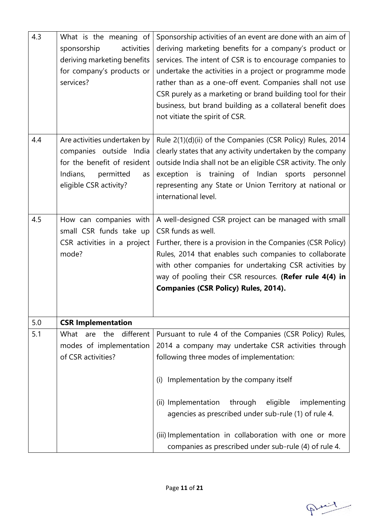| 4.3 | What is the meaning of<br>sponsorship<br>activities<br>deriving marketing benefits<br>for company's products or<br>services?                    | Sponsorship activities of an event are done with an aim of<br>deriving marketing benefits for a company's product or<br>services. The intent of CSR is to encourage companies to<br>undertake the activities in a project or programme mode<br>rather than as a one-off event. Companies shall not use<br>CSR purely as a marketing or brand building tool for their     |
|-----|-------------------------------------------------------------------------------------------------------------------------------------------------|--------------------------------------------------------------------------------------------------------------------------------------------------------------------------------------------------------------------------------------------------------------------------------------------------------------------------------------------------------------------------|
|     |                                                                                                                                                 | business, but brand building as a collateral benefit does<br>not vitiate the spirit of CSR.                                                                                                                                                                                                                                                                              |
| 4.4 | Are activities undertaken by<br>companies outside India<br>for the benefit of resident<br>Indians,<br>permitted<br>as<br>eligible CSR activity? | Rule 2(1)(d)(ii) of the Companies (CSR Policy) Rules, 2014<br>clearly states that any activity undertaken by the company<br>outside India shall not be an eligible CSR activity. The only<br>exception is training of Indian sports personnel<br>representing any State or Union Territory at national or<br>international level.                                        |
| 4.5 | How can companies with<br>small CSR funds take up<br>CSR activities in a project<br>mode?                                                       | A well-designed CSR project can be managed with small<br>CSR funds as well.<br>Further, there is a provision in the Companies (CSR Policy)<br>Rules, 2014 that enables such companies to collaborate<br>with other companies for undertaking CSR activities by<br>way of pooling their CSR resources. (Refer rule 4(4) in<br><b>Companies (CSR Policy) Rules, 2014).</b> |
| 5.0 | <b>CSR Implementation</b>                                                                                                                       |                                                                                                                                                                                                                                                                                                                                                                          |
| 5.1 | are the<br>different<br>What<br>modes of implementation<br>of CSR activities?                                                                   | Pursuant to rule 4 of the Companies (CSR Policy) Rules,<br>2014 a company may undertake CSR activities through<br>following three modes of implementation:                                                                                                                                                                                                               |
|     |                                                                                                                                                 | Implementation by the company itself<br>(i)<br>(ii) Implementation<br>through eligible implementing                                                                                                                                                                                                                                                                      |
|     |                                                                                                                                                 | agencies as prescribed under sub-rule (1) of rule 4.<br>(iii) Implementation in collaboration with one or more<br>companies as prescribed under sub-rule (4) of rule 4.                                                                                                                                                                                                  |

Print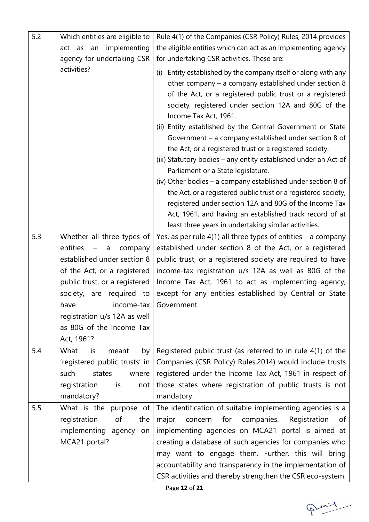| 5.2 | Which entities are eligible to       | Rule 4(1) of the Companies (CSR Policy) Rules, 2014 provides                                                                                                                                                                                                                                                                                                                                                                                                                                                                                                                                                                                                                                                                                                                                                                                                                        |
|-----|--------------------------------------|-------------------------------------------------------------------------------------------------------------------------------------------------------------------------------------------------------------------------------------------------------------------------------------------------------------------------------------------------------------------------------------------------------------------------------------------------------------------------------------------------------------------------------------------------------------------------------------------------------------------------------------------------------------------------------------------------------------------------------------------------------------------------------------------------------------------------------------------------------------------------------------|
|     | implementing<br>an<br>act as         | the eligible entities which can act as an implementing agency                                                                                                                                                                                                                                                                                                                                                                                                                                                                                                                                                                                                                                                                                                                                                                                                                       |
|     | agency for undertaking CSR           | for undertaking CSR activities. These are:                                                                                                                                                                                                                                                                                                                                                                                                                                                                                                                                                                                                                                                                                                                                                                                                                                          |
|     | activities?                          | Entity established by the company itself or along with any<br>(i)<br>other company - a company established under section 8<br>of the Act, or a registered public trust or a registered<br>society, registered under section 12A and 80G of the<br>Income Tax Act, 1961.<br>(ii) Entity established by the Central Government or State<br>Government $-$ a company established under section 8 of<br>the Act, or a registered trust or a registered society.<br>(iii) Statutory bodies – any entity established under an Act of<br>Parliament or a State legislature.<br>(iv) Other bodies – a company established under section 8 of<br>the Act, or a registered public trust or a registered society,<br>registered under section 12A and 80G of the Income Tax<br>Act, 1961, and having an established track record of at<br>least three years in undertaking similar activities. |
| 5.3 | Whether all three types of           | Yes, as per rule $4(1)$ all three types of entities – a company                                                                                                                                                                                                                                                                                                                                                                                                                                                                                                                                                                                                                                                                                                                                                                                                                     |
|     | entities<br>$\equiv$<br>company<br>a | established under section 8 of the Act, or a registered                                                                                                                                                                                                                                                                                                                                                                                                                                                                                                                                                                                                                                                                                                                                                                                                                             |
|     | established under section 8          | public trust, or a registered society are required to have                                                                                                                                                                                                                                                                                                                                                                                                                                                                                                                                                                                                                                                                                                                                                                                                                          |
|     | of the Act, or a registered          | income-tax registration u/s 12A as well as 80G of the                                                                                                                                                                                                                                                                                                                                                                                                                                                                                                                                                                                                                                                                                                                                                                                                                               |
|     | public trust, or a registered        | Income Tax Act, 1961 to act as implementing agency,                                                                                                                                                                                                                                                                                                                                                                                                                                                                                                                                                                                                                                                                                                                                                                                                                                 |
|     | society, are required to             | except for any entities established by Central or State                                                                                                                                                                                                                                                                                                                                                                                                                                                                                                                                                                                                                                                                                                                                                                                                                             |
|     | have<br>income-tax                   | Government.                                                                                                                                                                                                                                                                                                                                                                                                                                                                                                                                                                                                                                                                                                                                                                                                                                                                         |
|     | registration u/s 12A as well         |                                                                                                                                                                                                                                                                                                                                                                                                                                                                                                                                                                                                                                                                                                                                                                                                                                                                                     |
|     | as 80G of the Income Tax             |                                                                                                                                                                                                                                                                                                                                                                                                                                                                                                                                                                                                                                                                                                                                                                                                                                                                                     |
|     | Act, 1961?                           |                                                                                                                                                                                                                                                                                                                                                                                                                                                                                                                                                                                                                                                                                                                                                                                                                                                                                     |
| 5.4 | What<br>by<br>is<br>meant            | Registered public trust (as referred to in rule 4(1) of the                                                                                                                                                                                                                                                                                                                                                                                                                                                                                                                                                                                                                                                                                                                                                                                                                         |
|     | 'registered public trusts' in        | Companies (CSR Policy) Rules, 2014) would include trusts                                                                                                                                                                                                                                                                                                                                                                                                                                                                                                                                                                                                                                                                                                                                                                                                                            |
|     | where<br>such<br>states              | registered under the Income Tax Act, 1961 in respect of                                                                                                                                                                                                                                                                                                                                                                                                                                                                                                                                                                                                                                                                                                                                                                                                                             |
|     | registration<br>is<br>not            | those states where registration of public trusts is not                                                                                                                                                                                                                                                                                                                                                                                                                                                                                                                                                                                                                                                                                                                                                                                                                             |
|     | mandatory?                           | mandatory.                                                                                                                                                                                                                                                                                                                                                                                                                                                                                                                                                                                                                                                                                                                                                                                                                                                                          |
| 5.5 | What is the purpose of               | The identification of suitable implementing agencies is a                                                                                                                                                                                                                                                                                                                                                                                                                                                                                                                                                                                                                                                                                                                                                                                                                           |
|     | registration<br>of<br>the            | Registration<br>major<br>concern<br>for<br>companies.<br>of                                                                                                                                                                                                                                                                                                                                                                                                                                                                                                                                                                                                                                                                                                                                                                                                                         |
|     | implementing agency<br>on            | implementing agencies on MCA21 portal is aimed at                                                                                                                                                                                                                                                                                                                                                                                                                                                                                                                                                                                                                                                                                                                                                                                                                                   |
|     | MCA21 portal?                        | creating a database of such agencies for companies who                                                                                                                                                                                                                                                                                                                                                                                                                                                                                                                                                                                                                                                                                                                                                                                                                              |
|     |                                      | may want to engage them. Further, this will bring                                                                                                                                                                                                                                                                                                                                                                                                                                                                                                                                                                                                                                                                                                                                                                                                                                   |
|     |                                      | accountability and transparency in the implementation of                                                                                                                                                                                                                                                                                                                                                                                                                                                                                                                                                                                                                                                                                                                                                                                                                            |
|     |                                      | CSR activities and thereby strengthen the CSR eco-system.                                                                                                                                                                                                                                                                                                                                                                                                                                                                                                                                                                                                                                                                                                                                                                                                                           |

Print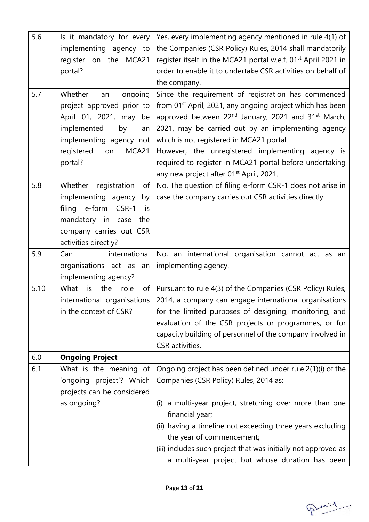| 5.6  | Is it mandatory for every       | Yes, every implementing agency mentioned in rule 4(1) of                      |
|------|---------------------------------|-------------------------------------------------------------------------------|
|      | implementing agency to          | the Companies (CSR Policy) Rules, 2014 shall mandatorily                      |
|      | register on the MCA21           | register itself in the MCA21 portal w.e.f. 01 <sup>st</sup> April 2021 in     |
|      | portal?                         | order to enable it to undertake CSR activities on behalf of                   |
|      |                                 | the company.                                                                  |
| 5.7  | Whether<br>ongoing<br>an        | Since the requirement of registration has commenced                           |
|      | project approved prior to       | from 01 <sup>st</sup> April, 2021, any ongoing project which has been         |
|      | April 01, 2021, may<br>be       | approved between 22 <sup>nd</sup> January, 2021 and 31 <sup>st</sup> March,   |
|      | implemented<br>by<br>an         | 2021, may be carried out by an implementing agency                            |
|      | implementing agency not         | which is not registered in MCA21 portal.                                      |
|      | MCA21<br>registered<br>on       | However, the unregistered implementing agency is                              |
|      | portal?                         | required to register in MCA21 portal before undertaking                       |
|      |                                 | any new project after 01 <sup>st</sup> April, 2021.                           |
| 5.8  | Whether registration<br>of      | No. The question of filing e-form CSR-1 does not arise in                     |
|      | implementing agency<br>by       | case the company carries out CSR activities directly.                         |
|      | filing e-form<br>CSR-1<br>is.   |                                                                               |
|      | mandatory in case the           |                                                                               |
|      | company carries out CSR         |                                                                               |
|      | activities directly?            |                                                                               |
| 5.9  | Can<br>international            | No, an international organisation cannot act as an                            |
|      | organisations act as an         | implementing agency.                                                          |
|      | implementing agency?            |                                                                               |
| 5.10 | What<br>of<br>is<br>the<br>role | Pursuant to rule 4(3) of the Companies (CSR Policy) Rules,                    |
|      | international organisations     | 2014, a company can engage international organisations                        |
|      | in the context of CSR?          | for the limited purposes of designing, monitoring, and                        |
|      |                                 | evaluation of the CSR projects or programmes, or for                          |
|      |                                 | capacity building of personnel of the company involved in                     |
|      |                                 | CSR activities.                                                               |
| 6.0  | <b>Ongoing Project</b>          |                                                                               |
| 6.1  | What is the meaning of          | Ongoing project has been defined under rule 2(1)(i) of the                    |
|      | 'ongoing project'? Which        | Companies (CSR Policy) Rules, 2014 as:                                        |
|      | projects can be considered      |                                                                               |
|      | as ongoing?                     | a multi-year project, stretching over more than one<br>(i)<br>financial year; |
|      |                                 | (ii) having a timeline not exceeding three years excluding                    |
|      |                                 | the year of commencement;                                                     |
|      |                                 | (iii) includes such project that was initially not approved as                |
|      |                                 | a multi-year project but whose duration has been                              |

Print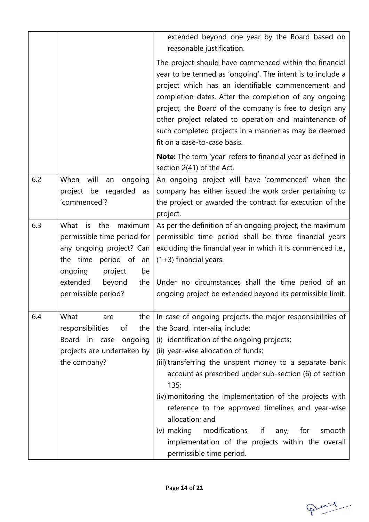|     |                                                                                                                                                                                                  | extended beyond one year by the Board based on<br>reasonable justification.                                                                                                                                                                                                                                                                                                                                                                                                                                                                                                                        |
|-----|--------------------------------------------------------------------------------------------------------------------------------------------------------------------------------------------------|----------------------------------------------------------------------------------------------------------------------------------------------------------------------------------------------------------------------------------------------------------------------------------------------------------------------------------------------------------------------------------------------------------------------------------------------------------------------------------------------------------------------------------------------------------------------------------------------------|
|     |                                                                                                                                                                                                  | The project should have commenced within the financial<br>year to be termed as 'ongoing'. The intent is to include a<br>project which has an identifiable commencement and<br>completion dates. After the completion of any ongoing<br>project, the Board of the company is free to design any<br>other project related to operation and maintenance of<br>such completed projects in a manner as may be deemed<br>fit on a case-to-case basis.                                                                                                                                                    |
|     |                                                                                                                                                                                                  | <b>Note:</b> The term 'year' refers to financial year as defined in<br>section 2(41) of the Act.                                                                                                                                                                                                                                                                                                                                                                                                                                                                                                   |
| 6.2 | When<br>will<br>ongoing<br>an<br>project be<br>regarded<br>as<br>'commenced'?                                                                                                                    | An ongoing project will have 'commenced' when the<br>company has either issued the work order pertaining to<br>the project or awarded the contract for execution of the<br>project.                                                                                                                                                                                                                                                                                                                                                                                                                |
| 6.3 | is<br>maximum<br>What<br>the<br>permissible time period for<br>any ongoing project? Can<br>the time period of an<br>ongoing<br>project<br>be<br>extended<br>beyond<br>the<br>permissible period? | As per the definition of an ongoing project, the maximum<br>permissible time period shall be three financial years<br>excluding the financial year in which it is commenced i.e.,<br>$(1+3)$ financial years.<br>Under no circumstances shall the time period of an<br>ongoing project be extended beyond its permissible limit.                                                                                                                                                                                                                                                                   |
| 6.4 | What<br>the<br>are<br>responsibilities<br>οf<br>the<br><b>Board</b><br>ongoing<br>in case<br>projects are undertaken by<br>the company?                                                          | In case of ongoing projects, the major responsibilities of<br>the Board, inter-alia, include:<br>(i) identification of the ongoing projects;<br>(ii) year-wise allocation of funds;<br>(iii) transferring the unspent money to a separate bank<br>account as prescribed under sub-section (6) of section<br>135;<br>(iv) monitoring the implementation of the projects with<br>reference to the approved timelines and year-wise<br>allocation; and<br>$(v)$ making<br>modifications, if<br>for<br>smooth<br>any,<br>implementation of the projects within the overall<br>permissible time period. |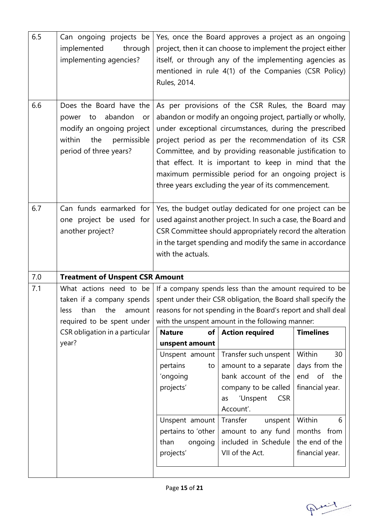| 6.5 | Can ongoing projects be<br>implemented<br>through<br>implementing agencies?                                                                                    | Rules, 2014.                                                                                                         | Yes, once the Board approves a project as an ongoing<br>project, then it can choose to implement the project either<br>itself, or through any of the implementing agencies as<br>mentioned in rule 4(1) of the Companies (CSR Policy)                                                                                                                                                                                                                               |                                                                                                         |
|-----|----------------------------------------------------------------------------------------------------------------------------------------------------------------|----------------------------------------------------------------------------------------------------------------------|---------------------------------------------------------------------------------------------------------------------------------------------------------------------------------------------------------------------------------------------------------------------------------------------------------------------------------------------------------------------------------------------------------------------------------------------------------------------|---------------------------------------------------------------------------------------------------------|
| 6.6 | Does the Board have the<br>abandon<br>power<br>to<br>or<br>modify an ongoing project<br>within<br>permissible<br>the<br>period of three years?                 |                                                                                                                      | As per provisions of the CSR Rules, the Board may<br>abandon or modify an ongoing project, partially or wholly,<br>under exceptional circumstances, during the prescribed<br>project period as per the recommendation of its CSR<br>Committee, and by providing reasonable justification to<br>that effect. It is important to keep in mind that the<br>maximum permissible period for an ongoing project is<br>three years excluding the year of its commencement. |                                                                                                         |
| 6.7 | Can funds earmarked for<br>one project be used for<br>another project?                                                                                         | with the actuals.                                                                                                    | Yes, the budget outlay dedicated for one project can be<br>used against another project. In such a case, the Board and<br>CSR Committee should appropriately record the alteration<br>in the target spending and modify the same in accordance                                                                                                                                                                                                                      |                                                                                                         |
| 7.0 | <b>Treatment of Unspent CSR Amount</b>                                                                                                                         |                                                                                                                      |                                                                                                                                                                                                                                                                                                                                                                                                                                                                     |                                                                                                         |
| 7.1 | What actions need to be<br>taken if a company spends<br>less<br>than<br>the<br>amount<br>required to be spent under<br>CSR obligation in a particular<br>year? | <b>Nature</b><br>of<br>unspent amount<br>Unspent amount<br>pertains<br>to<br>'ongoing<br>projects'<br>Unspent amount | If a company spends less than the amount required to be<br>spent under their CSR obligation, the Board shall specify the<br>reasons for not spending in the Board's report and shall deal<br>with the unspent amount in the following manner:<br><b>Action required</b><br>Transfer such unspent<br>amount to a separate<br>bank account of the<br>company to be called<br>'Unspent<br><b>CSR</b><br>as<br>Account'.<br>Transfer<br>unspent                         | <b>Timelines</b><br>Within<br>30<br>days from the<br>of<br>the<br>end<br>financial year.<br>Within<br>6 |
|     |                                                                                                                                                                | pertains to 'other<br>than<br>ongoing<br>projects'                                                                   | amount to any fund<br>included in Schedule<br>VII of the Act.                                                                                                                                                                                                                                                                                                                                                                                                       | months from<br>the end of the<br>financial year.                                                        |

Print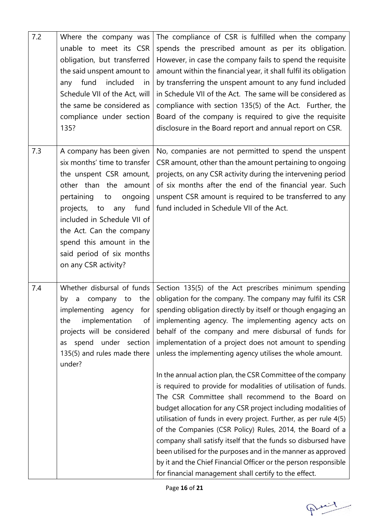| 7.2 | Where the company was<br>unable to meet its CSR<br>obligation, but transferred<br>the said unspent amount to<br>included<br>fund<br>any<br>in<br>Schedule VII of the Act, will<br>the same be considered as<br>compliance under section<br>135?                                                                        | The compliance of CSR is fulfilled when the company<br>spends the prescribed amount as per its obligation.<br>However, in case the company fails to spend the requisite<br>amount within the financial year, it shall fulfil its obligation<br>by transferring the unspent amount to any fund included<br>in Schedule VII of the Act. The same will be considered as<br>compliance with section 135(5) of the Act. Further, the<br>Board of the company is required to give the requisite<br>disclosure in the Board report and annual report on CSR.                                                                                                                                                                                                                                                                                                                                                                                                                                                                                                                             |
|-----|------------------------------------------------------------------------------------------------------------------------------------------------------------------------------------------------------------------------------------------------------------------------------------------------------------------------|-----------------------------------------------------------------------------------------------------------------------------------------------------------------------------------------------------------------------------------------------------------------------------------------------------------------------------------------------------------------------------------------------------------------------------------------------------------------------------------------------------------------------------------------------------------------------------------------------------------------------------------------------------------------------------------------------------------------------------------------------------------------------------------------------------------------------------------------------------------------------------------------------------------------------------------------------------------------------------------------------------------------------------------------------------------------------------------|
| 7.3 | A company has been given<br>six months' time to transfer<br>the unspent CSR amount,<br>other than the amount<br>pertaining<br>ongoing<br>to<br>fund<br>projects, to<br>any<br>included in Schedule VII of<br>the Act. Can the company<br>spend this amount in the<br>said period of six months<br>on any CSR activity? | No, companies are not permitted to spend the unspent<br>CSR amount, other than the amount pertaining to ongoing<br>projects, on any CSR activity during the intervening period<br>of six months after the end of the financial year. Such<br>unspent CSR amount is required to be transferred to any<br>fund included in Schedule VII of the Act.                                                                                                                                                                                                                                                                                                                                                                                                                                                                                                                                                                                                                                                                                                                                 |
| 7.4 | Whether disbursal of funds<br>the<br>by<br>company<br>to<br>a<br>implementing agency<br>for<br>implementation<br>of<br>the<br>projects will be considered<br>spend under section<br>as<br>135(5) and rules made there<br>under?                                                                                        | Section 135(5) of the Act prescribes minimum spending<br>obligation for the company. The company may fulfil its CSR<br>spending obligation directly by itself or though engaging an<br>implementing agency. The implementing agency acts on<br>behalf of the company and mere disbursal of funds for<br>implementation of a project does not amount to spending<br>unless the implementing agency utilises the whole amount.<br>In the annual action plan, the CSR Committee of the company<br>is required to provide for modalities of utilisation of funds.<br>The CSR Committee shall recommend to the Board on<br>budget allocation for any CSR project including modalities of<br>utilisation of funds in every project. Further, as per rule 4(5)<br>of the Companies (CSR Policy) Rules, 2014, the Board of a<br>company shall satisfy itself that the funds so disbursed have<br>been utilised for the purposes and in the manner as approved<br>by it and the Chief Financial Officer or the person responsible<br>for financial management shall certify to the effect. |

Print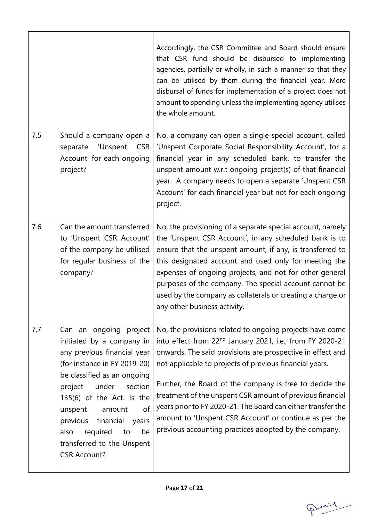|     |                                                                                                                                                                                                                                                                                                                                                              | Accordingly, the CSR Committee and Board should ensure<br>that CSR fund should be disbursed to implementing<br>agencies, partially or wholly, in such a manner so that they<br>can be utilised by them during the financial year. Mere<br>disbursal of funds for implementation of a project does not<br>amount to spending unless the implementing agency utilises<br>the whole amount.                                                                                                                                                                              |
|-----|--------------------------------------------------------------------------------------------------------------------------------------------------------------------------------------------------------------------------------------------------------------------------------------------------------------------------------------------------------------|-----------------------------------------------------------------------------------------------------------------------------------------------------------------------------------------------------------------------------------------------------------------------------------------------------------------------------------------------------------------------------------------------------------------------------------------------------------------------------------------------------------------------------------------------------------------------|
| 7.5 | Should a company open a<br>separate<br>'Unspent<br><b>CSR</b><br>Account' for each ongoing<br>project?                                                                                                                                                                                                                                                       | No, a company can open a single special account, called<br>'Unspent Corporate Social Responsibility Account', for a<br>financial year in any scheduled bank, to transfer the<br>unspent amount w.r.t ongoing project(s) of that financial<br>year. A company needs to open a separate 'Unspent CSR<br>Account' for each financial year but not for each ongoing<br>project.                                                                                                                                                                                           |
| 7.6 | Can the amount transferred<br>to 'Unspent CSR Account'<br>of the company be utilised<br>for regular business of the<br>company?                                                                                                                                                                                                                              | No, the provisioning of a separate special account, namely<br>the 'Unspent CSR Account', in any scheduled bank is to<br>ensure that the unspent amount, if any, is transferred to<br>this designated account and used only for meeting the<br>expenses of ongoing projects, and not for other general<br>purposes of the company. The special account cannot be<br>used by the company as collaterals or creating a charge or<br>any other business activity.                                                                                                         |
| 7.7 | Can an ongoing project<br>initiated by a company in<br>any previous financial year<br>(for instance in FY 2019-20)<br>be classified as an ongoing<br>under<br>project<br>section<br>135(6) of the Act. Is the<br>unspent<br>of<br>amount<br>previous financial<br>years<br>also<br>required<br>be<br>to<br>transferred to the Unspent<br><b>CSR Account?</b> | No, the provisions related to ongoing projects have come<br>into effect from 22 <sup>nd</sup> January 2021, i.e., from FY 2020-21<br>onwards. The said provisions are prospective in effect and<br>not applicable to projects of previous financial years.<br>Further, the Board of the company is free to decide the<br>treatment of the unspent CSR amount of previous financial<br>years prior to FY 2020-21. The Board can either transfer the<br>amount to 'Unspent CSR Account' or continue as per the<br>previous accounting practices adopted by the company. |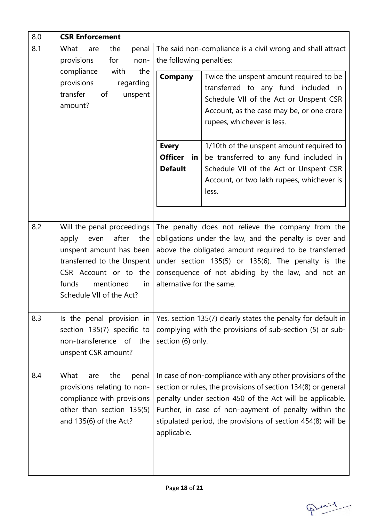| 8.0 | <b>CSR Enforcement</b>                                                                                                                                                                                       |                                              |                                                                                                                                                                                                                                                                                                                 |
|-----|--------------------------------------------------------------------------------------------------------------------------------------------------------------------------------------------------------------|----------------------------------------------|-----------------------------------------------------------------------------------------------------------------------------------------------------------------------------------------------------------------------------------------------------------------------------------------------------------------|
| 8.1 | What<br>the<br>penal<br>are<br>provisions<br>for<br>non-                                                                                                                                                     | the following penalties:                     | The said non-compliance is a civil wrong and shall attract                                                                                                                                                                                                                                                      |
|     | compliance<br>with<br>the<br>provisions<br>regarding<br>transfer<br>of<br>unspent<br>amount?                                                                                                                 | Company                                      | Twice the unspent amount required to be<br>transferred to any fund included in<br>Schedule VII of the Act or Unspent CSR<br>Account, as the case may be, or one crore<br>rupees, whichever is less.                                                                                                             |
|     |                                                                                                                                                                                                              | <b>Every</b><br>Officer in<br><b>Default</b> | 1/10th of the unspent amount required to<br>be transferred to any fund included in<br>Schedule VII of the Act or Unspent CSR<br>Account, or two lakh rupees, whichever is<br>less.                                                                                                                              |
| 8.2 | Will the penal proceedings<br>after<br>apply<br>even<br>the<br>unspent amount has been<br>transferred to the Unspent<br>CSR Account or to the<br>funds<br>mentioned<br><i>in</i><br>Schedule VII of the Act? | alternative for the same.                    | The penalty does not relieve the company from the<br>obligations under the law, and the penalty is over and<br>above the obligated amount required to be transferred<br>under section 135(5) or 135(6). The penalty is the<br>consequence of not abiding by the law, and not an                                 |
| 8.3 | Is the penal provision in<br>section 135(7) specific to<br>non-transference of the<br>unspent CSR amount?                                                                                                    | section (6) only.                            | Yes, section 135(7) clearly states the penalty for default in<br>complying with the provisions of sub-section (5) or sub-                                                                                                                                                                                       |
| 8.4 | What<br>penal<br>the<br>are<br>provisions relating to non-<br>compliance with provisions<br>other than section 135(5)<br>and 135(6) of the Act?                                                              | applicable.                                  | In case of non-compliance with any other provisions of the<br>section or rules, the provisions of section 134(8) or general<br>penalty under section 450 of the Act will be applicable.<br>Further, in case of non-payment of penalty within the<br>stipulated period, the provisions of section 454(8) will be |

Print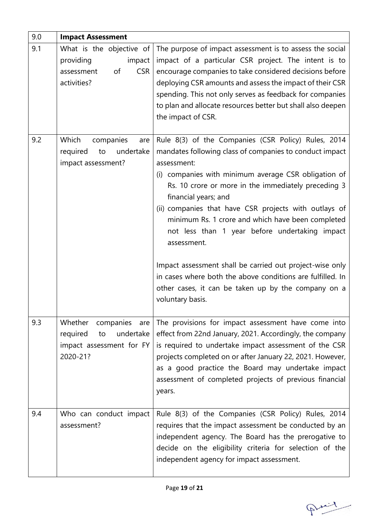| 9.0 | <b>Impact Assessment</b>                                                                         |                                                                                                                                                                                                                                                                                                                                                                                                                                                     |
|-----|--------------------------------------------------------------------------------------------------|-----------------------------------------------------------------------------------------------------------------------------------------------------------------------------------------------------------------------------------------------------------------------------------------------------------------------------------------------------------------------------------------------------------------------------------------------------|
| 9.1 | What is the objective of<br>providing<br>impact<br>of<br><b>CSR</b><br>assessment<br>activities? | The purpose of impact assessment is to assess the social<br>impact of a particular CSR project. The intent is to<br>encourage companies to take considered decisions before<br>deploying CSR amounts and assess the impact of their CSR<br>spending. This not only serves as feedback for companies<br>to plan and allocate resources better but shall also deepen<br>the impact of CSR.                                                            |
| 9.2 | Which<br>companies<br>are<br>required<br>to<br>undertake<br>impact assessment?                   | Rule 8(3) of the Companies (CSR Policy) Rules, 2014<br>mandates following class of companies to conduct impact<br>assessment:<br>(i) companies with minimum average CSR obligation of<br>Rs. 10 crore or more in the immediately preceding 3<br>financial years; and<br>(ii) companies that have CSR projects with outlays of<br>minimum Rs. 1 crore and which have been completed<br>not less than 1 year before undertaking impact<br>assessment. |
|     |                                                                                                  | Impact assessment shall be carried out project-wise only<br>in cases where both the above conditions are fulfilled. In<br>other cases, it can be taken up by the company on a<br>voluntary basis.                                                                                                                                                                                                                                                   |
| 9.3 | Whether companies are<br>required<br>undertake<br>to<br>impact assessment for FY<br>2020-21?     | The provisions for impact assessment have come into<br>effect from 22nd January, 2021. Accordingly, the company<br>is required to undertake impact assessment of the CSR<br>projects completed on or after January 22, 2021. However,<br>as a good practice the Board may undertake impact<br>assessment of completed projects of previous financial<br>years.                                                                                      |
| 9.4 | Who can conduct impact<br>assessment?                                                            | Rule 8(3) of the Companies (CSR Policy) Rules, 2014<br>requires that the impact assessment be conducted by an<br>independent agency. The Board has the prerogative to<br>decide on the eligibility criteria for selection of the<br>independent agency for impact assessment.                                                                                                                                                                       |

Print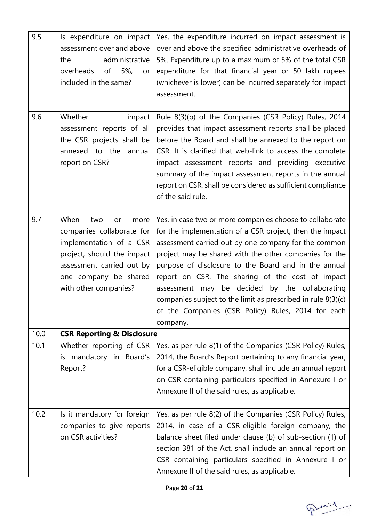| 9.5  | Is expenditure on impact<br>assessment over and above<br>administrative<br>the<br>overheads<br>of<br>5%,<br>or<br>included in the same?                                                        | Yes, the expenditure incurred on impact assessment is<br>over and above the specified administrative overheads of<br>5%. Expenditure up to a maximum of 5% of the total CSR<br>expenditure for that financial year or 50 lakh rupees<br>(whichever is lower) can be incurred separately for impact<br>assessment.                                                                                                                                                                                                                      |
|------|------------------------------------------------------------------------------------------------------------------------------------------------------------------------------------------------|----------------------------------------------------------------------------------------------------------------------------------------------------------------------------------------------------------------------------------------------------------------------------------------------------------------------------------------------------------------------------------------------------------------------------------------------------------------------------------------------------------------------------------------|
| 9.6  | Whether<br>impact<br>assessment reports of all<br>the CSR projects shall be<br>annexed to the<br>annual<br>report on CSR?                                                                      | Rule 8(3)(b) of the Companies (CSR Policy) Rules, 2014<br>provides that impact assessment reports shall be placed<br>before the Board and shall be annexed to the report on<br>CSR. It is clarified that web-link to access the complete<br>impact assessment reports and providing executive<br>summary of the impact assessment reports in the annual<br>report on CSR, shall be considered as sufficient compliance<br>of the said rule.                                                                                            |
| 9.7  | When<br>more<br>two<br>or<br>companies collaborate for<br>implementation of a CSR<br>project, should the impact<br>assessment carried out by<br>one company be shared<br>with other companies? | Yes, in case two or more companies choose to collaborate<br>for the implementation of a CSR project, then the impact<br>assessment carried out by one company for the common<br>project may be shared with the other companies for the<br>purpose of disclosure to the Board and in the annual<br>report on CSR. The sharing of the cost of impact<br>assessment may be decided by the collaborating<br>companies subject to the limit as prescribed in rule 8(3)(c)<br>of the Companies (CSR Policy) Rules, 2014 for each<br>company. |
| 10.0 | <b>CSR Reporting &amp; Disclosure</b>                                                                                                                                                          |                                                                                                                                                                                                                                                                                                                                                                                                                                                                                                                                        |
| 10.1 | Whether reporting of CSR<br>is mandatory in Board's<br>Report?                                                                                                                                 | Yes, as per rule 8(1) of the Companies (CSR Policy) Rules,<br>2014, the Board's Report pertaining to any financial year,<br>for a CSR-eligible company, shall include an annual report<br>on CSR containing particulars specified in Annexure I or<br>Annexure II of the said rules, as applicable.                                                                                                                                                                                                                                    |
| 10.2 | Is it mandatory for foreign<br>companies to give reports<br>on CSR activities?                                                                                                                 | Yes, as per rule 8(2) of the Companies (CSR Policy) Rules,<br>2014, in case of a CSR-eligible foreign company, the<br>balance sheet filed under clause (b) of sub-section (1) of<br>section 381 of the Act, shall include an annual report on<br>CSR containing particulars specified in Annexure I or<br>Annexure II of the said rules, as applicable.                                                                                                                                                                                |

Print